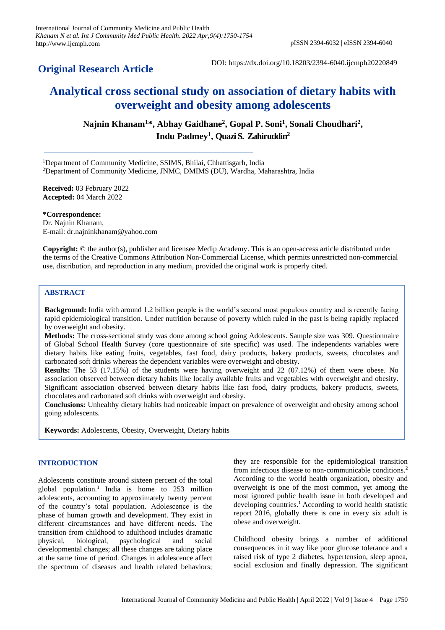# **Original Research Article**

DOI: https://dx.doi.org/10.18203/2394-6040.ijcmph20220849

# **Analytical cross sectional study on association of dietary habits with overweight and obesity among adolescents**

**Najnin Khanam<sup>1</sup>\*, Abhay Gaidhane<sup>2</sup> , Gopal P. Soni<sup>1</sup> , Sonali Choudhari<sup>2</sup> , Indu Padmey<sup>1</sup> , Quazi S. Zahiruddin<sup>2</sup>**

<sup>1</sup>Department of Community Medicine, SSIMS, Bhilai, Chhattisgarh, India <sup>2</sup>Department of Community Medicine, JNMC, DMIMS (DU), Wardha, Maharashtra, India

**Received:** 03 February 2022 **Accepted:** 04 March 2022

**\*Correspondence:** Dr. Najnin Khanam, E-mail: dr.najninkhanam@yahoo.com

**Copyright:** © the author(s), publisher and licensee Medip Academy. This is an open-access article distributed under the terms of the Creative Commons Attribution Non-Commercial License, which permits unrestricted non-commercial use, distribution, and reproduction in any medium, provided the original work is properly cited.

# **ABSTRACT**

**Background:** India with around 1.2 billion people is the world's second most populous country and is recently facing rapid epidemiological transition. Under nutrition because of poverty which ruled in the past is being rapidly replaced by overweight and obesity.

**Methods:** The cross-sectional study was done among school going Adolescents. Sample size was 309. Questionnaire of Global School Health Survey (core questionnaire of site specific) was used. The independents variables were dietary habits like eating fruits, vegetables, fast food, dairy products, bakery products, sweets, chocolates and carbonated soft drinks whereas the dependent variables were overweight and obesity.

**Results:** The 53 (17.15%) of the students were having overweight and 22 (07.12%) of them were obese. No association observed between dietary habits like locally available fruits and vegetables with overweight and obesity. Significant association observed between dietary habits like fast food, dairy products, bakery products, sweets, chocolates and carbonated soft drinks with overweight and obesity.

**Conclusions:** Unhealthy dietary habits had noticeable impact on prevalence of overweight and obesity among school going adolescents.

**Keywords:** Adolescents, Obesity, Overweight, Dietary habits

# **INTRODUCTION**

Adolescents constitute around sixteen percent of the total global population.<sup>1</sup> India is home to  $253$  million adolescents, accounting to approximately twenty percent of the country's total population. Adolescence is the phase of human growth and development. They exist in different circumstances and have different needs. The transition from childhood to adulthood includes dramatic physical, biological, psychological and social developmental changes; all these changes are taking place at the same time of period. Changes in adolescence affect the spectrum of diseases and health related behaviors;

they are responsible for the epidemiological transition from infectious disease to non-communicable conditions.<sup>2</sup> According to the world health organization, obesity and overweight is one of the most common, yet among the most ignored public health issue in both developed and developing countries.<sup>1</sup> According to world health statistic report 2016, globally there is one in every six adult is obese and overweight.

Childhood obesity brings a number of additional consequences in it way like poor glucose tolerance and a raised risk of type 2 diabetes, hypertension, sleep apnea, social exclusion and finally depression. The significant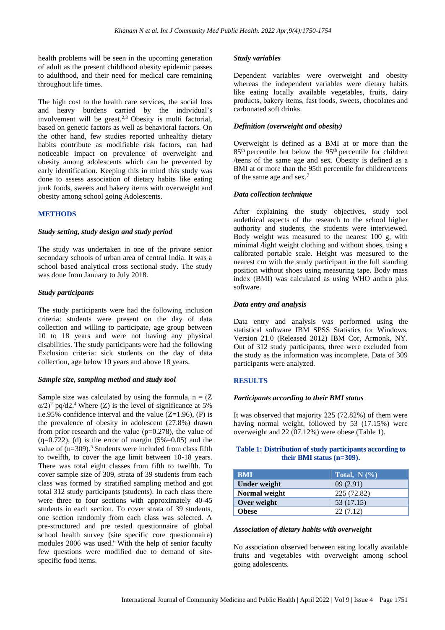health problems will be seen in the upcoming generation of adult as the present childhood obesity epidemic passes to adulthood, and their need for medical care remaining throughout life times.

The high cost to the health care services, the social loss and heavy burdens carried by the individual's involvement will be great.<sup>2,3</sup> Obesity is multi factorial, based on genetic factors as well as behavioral factors. On the other hand, few studies reported unhealthy dietary habits contribute as modifiable risk factors, can had noticeable impact on prevalence of overweight and obesity among adolescents which can be prevented by early identification. Keeping this in mind this study was done to assess association of dietary habits like eating junk foods, sweets and bakery items with overweight and obesity among school going Adolescents.

# **METHODS**

#### *Study setting, study design and study period*

The study was undertaken in one of the private senior secondary schools of urban area of central India. It was a school based analytical cross sectional study. The study was done from January to July 2018.

#### *Study participants*

The study participants were had the following inclusion criteria: students were present on the day of data collection and willing to participate, age group between 10 to 18 years and were not having any physical disabilities. The study participants were had the following Exclusion criteria: sick students on the day of data collection, age below 10 years and above 18 years.

#### *Sample size, sampling method and study tool*

Sample size was calculated by using the formula,  $n = (Z)$  $\alpha/2$ <sup>2</sup> pq/d2.<sup>4</sup> Where (Z) is the level of significance at 5% i.e.95% confidence interval and the value  $(Z=1.96)$ , (P) is the prevalence of obesity in adolescent (27.8%) drawn from prior research and the value  $(p=0.278)$ , the value of  $(q=0.722)$ , (d) is the error of margin (5%=0.05) and the value of  $(n=309)$ .<sup>5</sup> Students were included from class fifth to twelfth, to cover the age limit between 10-18 years. There was total eight classes from fifth to twelfth. To cover sample size of 309, strata of 39 students from each class was formed by stratified sampling method and got total 312 study participants (students). In each class there were three to four sections with approximately 40-45 students in each section. To cover strata of 39 students, one section randomly from each class was selected. A pre-structured and pre tested questionnaire of global school health survey (site specific core questionnaire) modules 2006 was used.<sup>6</sup> With the help of senior faculty few questions were modified due to demand of sitespecific food items.

#### *Study variables*

Dependent variables were overweight and obesity whereas the independent variables were dietary habits like eating locally available vegetables, fruits, dairy products, bakery items, fast foods, sweets, chocolates and carbonated soft drinks.

## *Definition (overweight and obesity)*

Overweight is defined as a BMI at or more than the 85th percentile but below the 95th percentile for children /teens of the same age and sex. Obesity is defined as a BMI at or more than the 95th percentile for children/teens of the same age and sex.<sup>7</sup>

#### *Data collection technique*

After explaining the study objectives, study tool andethical aspects of the research to the school higher authority and students, the students were interviewed. Body weight was measured to the nearest 100 g, with minimal /light weight clothing and without shoes, using a calibrated portable scale. Height was measured to the nearest cm with the study participant in the full standing position without shoes using measuring tape. Body mass index (BMI) was calculated as using WHO anthro plus software.

#### *Data entry and analysis*

Data entry and analysis was performed using the statistical software IBM SPSS Statistics for Windows, Version 21.0 (Released 2012) IBM Cor, Armonk, NY. Out of 312 study participants, three were excluded from the study as the information was incomplete. Data of 309 participants were analyzed.

# **RESULTS**

#### *Participants according to their BMI status*

It was observed that majority 225 (72.82%) of them were having normal weight, followed by 53 (17.15%) were overweight and 22 (07.12%) were obese (Table 1).

#### **Table 1: Distribution of study participants according to their BMI status (n=309).**

| <b>BMI</b>    | Total, $N(\%)$ |
|---------------|----------------|
| Under weight  | 09(2.91)       |
| Normal weight | 225 (72.82)    |
| Over weight   | 53 (17.15)     |
| <b>Obese</b>  | 22(7.12)       |

#### *Association of dietary habits with overweight*

No association observed between eating locally available fruits and vegetables with overweight among school going adolescents.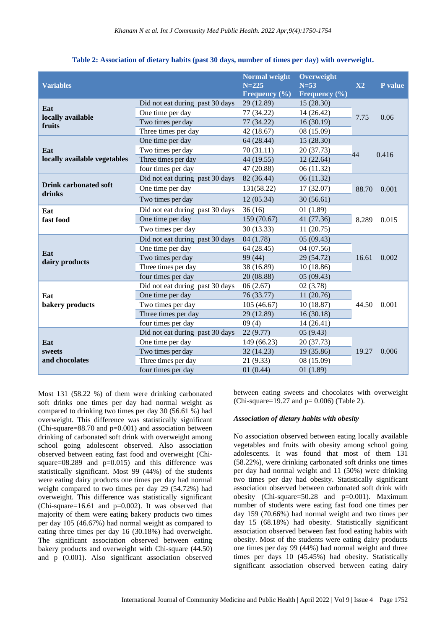| <b>Variables</b>                   |                                 | <b>Normal weight</b><br>$N = 225$<br>Frequency $(\% )$ | Overweight<br>$N=53$<br>Frequency (%) | X2    | P value |
|------------------------------------|---------------------------------|--------------------------------------------------------|---------------------------------------|-------|---------|
| Eat<br>locally available<br>fruits | Did not eat during past 30 days | 29 (12.89)                                             | 15 (28.30)                            |       | 0.06    |
|                                    | One time per day                | 77 (34.22)                                             | 14 (26.42)                            | 7.75  |         |
|                                    | Two times per day               | 77 (34.22)                                             | 16(30.19)                             |       |         |
|                                    | Three times per day             | 42 (18.67)                                             | 08 (15.09)                            |       |         |
|                                    | One time per day                | 64 (28.44)                                             | 15 (28.30)                            |       | 0.416   |
| Eat                                | Two times per day               | 70 (31.11)                                             | 20 (37.73)                            | 44    |         |
| locally available vegetables       | Three times per day             | 44 (19.55)                                             | 12(22.64)                             |       |         |
|                                    | four times per day              | 47 (20.88)                                             | 06 (11.32)                            |       |         |
|                                    | Did not eat during past 30 days | 82 (36.44)                                             | 06(11.32)                             |       | 0.001   |
| <b>Drink carbonated soft</b>       | One time per day                | 131(58.22)                                             | 17(32.07)                             | 88.70 |         |
| drinks                             | Two times per day               | 12(05.34)                                              | 30(56.61)                             |       |         |
| Eat<br>fast food                   | Did not eat during past 30 days | 36(16)                                                 | 01 (1.89)                             |       | 0.015   |
|                                    | One time per day                | 159 (70.67)                                            | 41 (77.36)                            | 8.289 |         |
|                                    | Two times per day               | 30(13.33)                                              | 11(20.75)                             |       |         |
|                                    | Did not eat during past 30 days | 04(1.78)                                               | 05(09.43)                             |       | 0.002   |
|                                    | One time per day                | 64 (28.45)                                             | 04 (07.56)                            |       |         |
| Eat<br>dairy products              | Two times per day               | 99 (44)                                                | 29 (54.72)                            | 16.61 |         |
|                                    | Three times per day             | 38 (16.89)                                             | 10(18.86)                             |       |         |
|                                    | four times per day              | 20 (08.88)                                             | 05(09.43)                             |       |         |
| Eat<br>bakery products             | Did not eat during past 30 days | 06(2.67)                                               | 02(3.78)                              |       | 0.001   |
|                                    | One time per day                | 76 (33.77)                                             | 11 (20.76)                            |       |         |
|                                    | Two times per day               | 105(46.67)                                             | 10(18.87)                             | 44.50 |         |
|                                    | Three times per day             | 29 (12.89)                                             | 16(30.18)                             |       |         |
|                                    | four times per day              | 09(4)                                                  | 14(26.41)                             |       |         |
| Eat<br>sweets<br>and chocolates    | Did not eat during past 30 days | 22(9.77)                                               | 05(9.43)                              |       | 0.006   |
|                                    | One time per day                | 149 (66.23)                                            | 20 (37.73)                            |       |         |
|                                    | Two times per day               | 32 (14.23)                                             | 19 (35.86)                            | 19.27 |         |
|                                    | Three times per day             | 21 (9.33)                                              | 08 (15.09)                            |       |         |
|                                    | four times per day              | 01(0.44)                                               | 01(1.89)                              |       |         |

**Table 2: Association of dietary habits (past 30 days, number of times per day) with overweight.**

Most 131 (58.22 %) of them were drinking carbonated soft drinks one times per day had normal weight as compared to drinking two times per day 30 (56.61 %) had overweight. This difference was statistically significant (Chi-square= $88.70$  and  $p=0.001$ ) and association between drinking of carbonated soft drink with overweight among school going adolescent observed. Also association observed between eating fast food and overweight (Chisquare=08.289 and  $p=0.015$ ) and this difference was statistically significant. Most 99 (44%) of the students were eating dairy products one times per day had normal weight compared to two times per day 29 (54.72%) had overweight. This difference was statistically significant (Chi-square=16.61 and p=0.002). It was observed that majority of them were eating bakery products two times per day 105 (46.67%) had normal weight as compared to eating three times per day 16 (30.18%) had overweight. The significant association observed between eating bakery products and overweight with Chi-square (44.50) and p (0.001). Also significant association observed between eating sweets and chocolates with overweight (Chi-square=19.27 and  $p = 0.006$ ) (Table 2).

#### *Association of dietary habits with obesity*

No association observed between eating locally available vegetables and fruits with obesity among school going adolescents. It was found that most of them 131 (58.22%), were drinking carbonated soft drinks one times per day had normal weight and 11 (50%) were drinking two times per day had obesity. Statistically significant association observed between carbonated soft drink with obesity (Chi-square= $50.28$  and  $p=0.001$ ). Maximum number of students were eating fast food one times per day 159 (70.66%) had normal weight and two times per day 15 (68.18%) had obesity. Statistically significant association observed between fast food eating habits with obesity. Most of the students were eating dairy products one times per day 99 (44%) had normal weight and three times per days 10 (45.45%) had obesity. Statistically significant association observed between eating dairy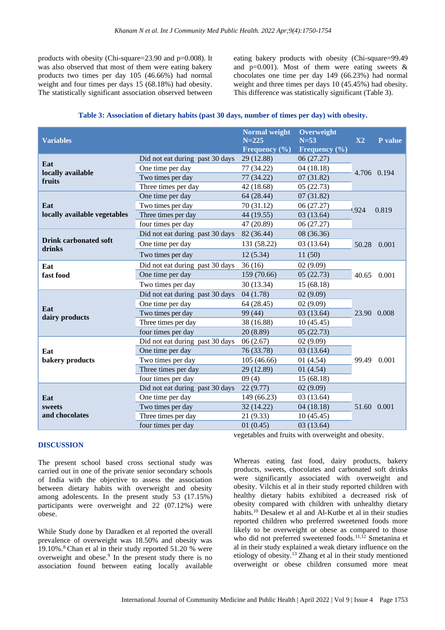products with obesity (Chi-square=23.90 and p=0.008). It was also observed that most of them were eating bakery products two times per day 105 (46.66%) had normal weight and four times per days 15 (68.18%) had obesity. The statistically significant association observed between

eating bakery products with obesity (Chi-square=99.49 and  $p=0.001$ ). Most of them were eating sweets & chocolates one time per day 149 (66.23%) had normal weight and three times per days 10 (45.45%) had obesity. This difference was statistically significant (Table 3).

| Table 3: Association of dietary habits (past 30 days, number of times per day) with obesity. |  |  |  |  |  |
|----------------------------------------------------------------------------------------------|--|--|--|--|--|
|----------------------------------------------------------------------------------------------|--|--|--|--|--|

| <b>Variables</b>                       |                                 | <b>Normal</b> weight<br>$N = 225$<br>Frequency $(\% )$ | Overweight<br>$N=53$<br>Frequency $(\% )$ | $\mathbf{X2}$ | P value     |
|----------------------------------------|---------------------------------|--------------------------------------------------------|-------------------------------------------|---------------|-------------|
| Eat<br>locally available<br>fruits     | Did not eat during past 30 days | 29 (12.88)                                             | 06 (27.27)                                |               |             |
|                                        | One time per day                | 77 (34.22)                                             | 04(18.18)                                 |               | 4.706 0.194 |
|                                        | Two times per day               | 77 (34.22)                                             | 07(31.82)                                 |               |             |
|                                        | Three times per day             | 42 (18.68)                                             | 05(22.73)                                 |               |             |
|                                        | One time per day                | 64 (28.44)                                             | 07(31.82)                                 |               | 0.819       |
| Eat                                    | Two times per day               | 70 (31.12)                                             | 06 (27.27)                                | 1.924         |             |
| locally available vegetables           | Three times per day             | 44 (19.55)                                             | 03(13.64)                                 |               |             |
|                                        | four times per day              | 47 (20.89)                                             | 06 (27.27)                                |               |             |
|                                        | Did not eat during past 30 days | 82 (36.44)                                             | 08 (36.36)                                |               | 0.001       |
| <b>Drink carbonated soft</b><br>drinks | One time per day                | 131 (58.22)                                            | 03(13.64)                                 | 50.28         |             |
|                                        | Two times per day               | 12(5.34)                                               | 11(50)                                    |               |             |
| Eat                                    | Did not eat during past 30 days | 36(16)                                                 | 02(9.09)                                  |               | 0.001       |
| fast food                              | One time per day                | 159 (70.66)                                            | 05(22.73)                                 | 40.65         |             |
|                                        | Two times per day               | 30 (13.34)                                             | 15(68.18)                                 |               |             |
|                                        | Did not eat during past 30 days | 04(1.78)                                               | 02(9.09)                                  |               | 0.008       |
|                                        | One time per day                | 64 (28.45)                                             | 02(9.09)                                  |               |             |
| Eat<br>dairy products                  | Two times per day               | 99 (44)                                                | 03(13.64)                                 | 23.90         |             |
|                                        | Three times per day             | 38 (16.88)                                             | 10(45.45)                                 |               |             |
|                                        | four times per day              | 20 (8.89)                                              | 05(22.73)                                 |               |             |
| Eat<br>bakery products                 | Did not eat during past 30 days | 06(2.67)                                               | 02(9.09)                                  |               | 0.001       |
|                                        | One time per day                | 76 (33.78)                                             | 03 (13.64)                                |               |             |
|                                        | Two times per day               | 105 (46.66)                                            | 01(4.54)                                  | 99.49         |             |
|                                        | Three times per day             | 29 (12.89)                                             | 01(4.54)                                  |               |             |
|                                        | four times per day              | 09(4)                                                  | 15 (68.18)                                |               |             |
| Eat<br>sweets<br>and chocolates        | Did not eat during past 30 days | 22(9.77)                                               | 02(9.09)                                  |               |             |
|                                        | One time per day                | 149 (66.23)                                            | 03 (13.64)                                |               |             |
|                                        | Two times per day               | 32 (14.22)                                             | 04(18.18)                                 | 51.60         | 0.001       |
|                                        | Three times per day             | 21 (9.33)                                              | 10(45.45)                                 |               |             |
|                                        | four times per day              | 01(0.45)                                               | 03(13.64)                                 |               |             |

#### **DISCUSSION**

The present school based cross sectional study was carried out in one of the private senior secondary schools of India with the objective to assess the association between dietary habits with overweight and obesity among adolescents. In the present study 53 (17.15%) participants were overweight and 22 (07.12%) were obese.

While Study done by Daradken et al reported the overall prevalence of overweight was 18.50% and obesity was 19.10%.<sup>8</sup> [Chan](https://www.ncbi.nlm.nih.gov/pubmed/?term=Chan%20YY%5BAuthor%5D&cauthor=true&cauthor_uid=28934939) et al in their study reported 51.20 % were overweight and obese.<sup>9</sup> In the present study there is no association found between eating locally available

vegetables and fruits with overweight and obesity.

Whereas eating fast food, dairy products, bakery products, sweets, chocolates and carbonated soft drinks were significantly associated with overweight and obesity. Vilchis et al in their study reported children with healthy dietary habits exhibited a decreased risk of obesity compared with children with unhealthy dietary habits.<sup>10</sup> Desalew et al and Al-Kutbe et al in their studies reported children who preferred sweetened foods more likely to be overweight or obese as compared to those who did not preferred sweetened foods.<sup>11,12</sup> Smetanina et al in their study explained a weak dietary influence on the etiology of obesity.<sup>13</sup> Zhang et al in their study mentioned overweight or obese children consumed more meat